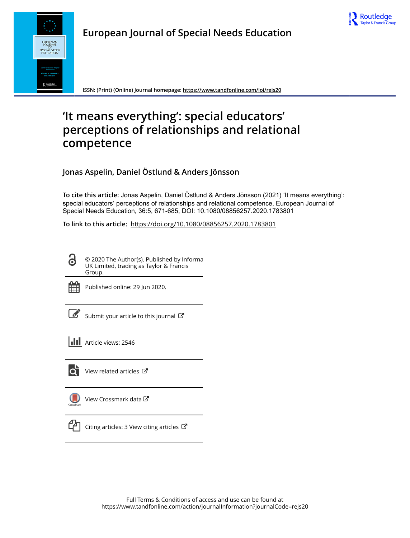



**ISSN: (Print) (Online) Journal homepage:<https://www.tandfonline.com/loi/rejs20>**

# **'It means everything': special educators' perceptions of relationships and relational competence**

**Jonas Aspelin, Daniel Östlund & Anders Jönsson**

**To cite this article:** Jonas Aspelin, Daniel Östlund & Anders Jönsson (2021) 'It means everything': special educators' perceptions of relationships and relational competence, European Journal of Special Needs Education, 36:5, 671-685, DOI: [10.1080/08856257.2020.1783801](https://www.tandfonline.com/action/showCitFormats?doi=10.1080/08856257.2020.1783801)

**To link to this article:** <https://doi.org/10.1080/08856257.2020.1783801>

© 2020 The Author(s). Published by Informa UK Limited, trading as Taylor & Francis Group.



 $\bullet$ 

Published online: 29 Jun 2020.

[Submit your article to this journal](https://www.tandfonline.com/action/authorSubmission?journalCode=rejs20&show=instructions)  $\mathbb{Z}$ 

**III** Article views: 2546



 $\bullet$  [View related articles](https://www.tandfonline.com/doi/mlt/10.1080/08856257.2020.1783801)  $\sigma$ 

[View Crossmark data](http://crossmark.crossref.org/dialog/?doi=10.1080/08856257.2020.1783801&domain=pdf&date_stamp=2020-06-29)



 $\Box$  [Citing articles: 3 View citing articles](https://www.tandfonline.com/doi/citedby/10.1080/08856257.2020.1783801#tabModule)  $\Box$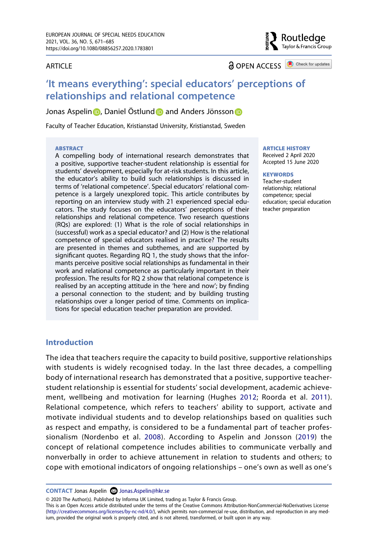#### **ARTICLE**

**a** OPEN ACCESS **a** Check for updates

Routledae Taylor & Francis Group

# **'It means everything': special educators' perceptions of relationships and relational competence**

Jo[n](http://orcid.org/0000-0002-3251-6082)as Aspelin **D**, Daniel Östlun[d](http://orcid.org/0000-0001-5196-4844) **D** and Anders Jönsson **D** 

Faculty of Teacher Education, Kristianstad University, Kristianstad, Sweden

#### **ABSTRACT**

A compelling body of international research demonstrates that a positive, supportive teacher-student relationship is essential for students' development, especially for at-risk students. In this article, the educator's ability to build such relationships is discussed in terms of 'relational competence'. Special educators' relational competence is a largely unexplored topic. This article contributes by reporting on an interview study with 21 experienced special educators. The study focuses on the educators' perceptions of their relationships and relational competence. Two research questions (RQs) are explored: (1) What is the role of social relationships in (successful) work as a special educator? and (2) How is the relational competence of special educators realised in practice? The results are presented in themes and subthemes, and are supported by significant quotes. Regarding RQ 1, the study shows that the informants perceive positive social relationships as fundamental in their work and relational competence as particularly important in their profession. The results for RQ 2 show that relational competence is realised by an accepting attitude in the 'here and now'; by finding a personal connection to the student; and by building trusting relationships over a longer period of time. Comments on implications for special education teacher preparation are provided.

#### **ARTICLE HISTORY**

Received 2 April 2020 Accepted 15 June 2020

#### **KEYWORDS**

Teacher-student relationship; relational competence; special education; special education teacher preparation

# **Introduction**

<span id="page-1-1"></span>The idea that teachers require the capacity to build positive, supportive relationships with students is widely recognised today. In the last three decades, a compelling body of international research has demonstrated that a positive, supportive teacherstudent relationship is essential for students' social development, academic achievement, wellbeing and motivation for learning (Hughes [2012](#page-15-0); Roorda et al. [2011](#page-15-1)). Relational competence, which refers to teachers' ability to support, activate and motivate individual students and to develop relationships based on qualities such as respect and empathy, is considered to be a fundamental part of teacher professionalism (Nordenbo et al. [2008](#page-15-2)). According to Aspelin and Jonsson ([2019\)](#page-14-0) the concept of relational competence includes abilities to communicate verbally and nonverbally in order to achieve attunement in relation to students and others; to cope with emotional indicators of ongoing relationships – one's own as well as one's

<span id="page-1-0"></span>**CONTACT** Jonas Aspelin **⊠** Jonas.Aspelin@hkr.se

© 2020 The Author(s). Published by Informa UK Limited, trading as Taylor & Francis Group.

This is an Open Access article distributed under the terms of the Creative Commons Attribution-NonCommercial-NoDerivatives License (http://creativecommons.org/licenses/by-nc-nd/4.0/), which permits non-commercial re-use, distribution, and reproduction in any medium, provided the original work is properly cited, and is not altered, transformed, or built upon in any way.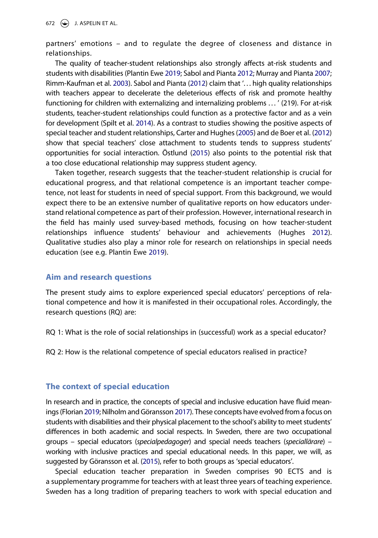partners' emotions – and to regulate the degree of closeness and distance in relationships.

<span id="page-2-6"></span><span id="page-2-3"></span>The quality of teacher-student relationships also strongly affects at-risk students and students with disabilities (Plantin Ewe [2019;](#page-15-3) Sabol and Pianta [2012](#page-15-4); Murray and Pianta [2007](#page-15-5); Rimm-Kaufman et al. [2003\)](#page-15-6). Sabol and Pianta [\(2012](#page-15-4)) claim that '... high quality relationships with teachers appear to decelerate the deleterious effects of risk and promote healthy functioning for children with externalizing and internalizing problems . . . ' (219). For at-risk students, teacher-student relationships could function as a protective factor and as a vein for development (Spilt et al. [2014](#page-15-7)). As a contrast to studies showing the positive aspects of special teacher and student relationships, Carter and Hughes ([2005\)](#page-14-1) and de Boer et al. [\(2012](#page-14-2)) show that special teachers' close attachment to students tends to suppress students' opportunities for social interaction. Östlund [\(2015](#page-15-8)) also points to the potential risk that a too close educational relationship may suppress student agency.

<span id="page-2-7"></span><span id="page-2-4"></span><span id="page-2-0"></span>Taken together, research suggests that the teacher-student relationship is crucial for educational progress, and that relational competence is an important teacher competence, not least for students in need of special support. From this background, we would expect there to be an extensive number of qualitative reports on how educators understand relational competence as part of their profession. However, international research in the field has mainly used survey-based methods, focusing on how teacher-student relationships influence students' behaviour and achievements (Hughes [2012](#page-15-0)). Qualitative studies also play a minor role for research on relationships in special needs education (see e.g. Plantin Ewe [2019\)](#page-15-3).

## <span id="page-2-5"></span>**Aim and research questions**

The present study aims to explore experienced special educators' perceptions of relational competence and how it is manifested in their occupational roles. Accordingly, the research questions (RQ) are:

RQ 1: What is the role of social relationships in (successful) work as a special educator?

RQ 2: How is the relational competence of special educators realised in practice?

# **The context of special education**

<span id="page-2-1"></span>In research and in practice, the concepts of special and inclusive education have fluid meanings (Florian [2019;](#page-14-3) Nilholm and Göransson [2017\)](#page-15-9). These concepts have evolved from a focus on students with disabilities and their physical placement to the school's ability to meet students' differences in both academic and social respects. In Sweden, there are two occupational groups – special educators (*specialpedagoger*) and special needs teachers (*speciallärare*) – working with inclusive practices and special educational needs. In this paper, we will, as suggested by Göransson et al. [\(2015\)](#page-15-10), refer to both groups as 'special educators'.

<span id="page-2-2"></span>Special education teacher preparation in Sweden comprises 90 ECTS and is a supplementary programme for teachers with at least three years of teaching experience. Sweden has a long tradition of preparing teachers to work with special education and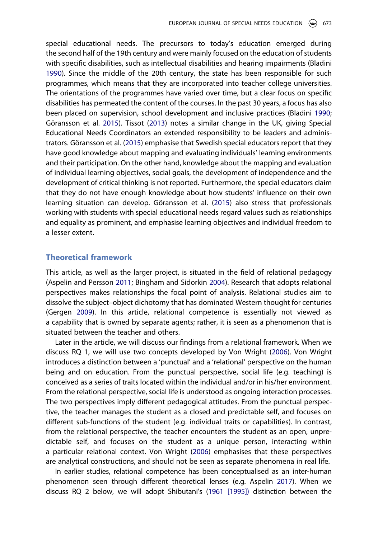<span id="page-3-5"></span><span id="page-3-2"></span>special educational needs. The precursors to today's education emerged during the second half of the 19th century and were mainly focused on the education of students with specific disabilities, such as intellectual disabilities and hearing impairments (Bladini [1990\)](#page-14-4). Since the middle of the 20th century, the state has been responsible for such programmes, which means that they are incorporated into teacher college universities. The orientations of the programmes have varied over time, but a clear focus on specific disabilities has permeated the content of the courses. In the past 30 years, a focus has also been placed on supervision, school development and inclusive practices (Bladini [1990](#page-14-4); Göransson et al. [2015\)](#page-15-10). Tissot ([2013](#page-15-11)) notes a similar change in the UK, giving Special Educational Needs Coordinators an extended responsibility to be leaders and administrators. Göransson et al. ([2015](#page-15-10)) emphasise that Swedish special educators report that they have good knowledge about mapping and evaluating individuals' learning environments and their participation. On the other hand, knowledge about the mapping and evaluation of individual learning objectives, social goals, the development of independence and the development of critical thinking is not reported. Furthermore, the special educators claim that they do not have enough knowledge about how students' influence on their own learning situation can develop. Göransson et al. [\(2015\)](#page-15-10) also stress that professionals working with students with special educational needs regard values such as relationships and equality as prominent, and emphasise learning objectives and individual freedom to a lesser extent.

## **Theoretical framework**

<span id="page-3-1"></span>This article, as well as the larger project, is situated in the field of relational pedagogy (Aspelin and Persson [2011;](#page-14-5) Bingham and Sidorkin [2004\)](#page-14-6). Research that adopts relational perspectives makes relationships the focal point of analysis. Relational studies aim to dissolve the subject–object dichotomy that has dominated Western thought for centuries (Gergen [2009](#page-14-7)). In this article, relational competence is essentially not viewed as a capability that is owned by separate agents; rather, it is seen as a phenomenon that is situated between the teacher and others.

<span id="page-3-3"></span>Later in the article, we will discuss our findings from a relational framework. When we discuss RQ 1, we will use two concepts developed by Von Wright ([2006](#page-15-12)). Von Wright introduces a distinction between a 'punctual' and a 'relational' perspective on the human being and on education. From the punctual perspective, social life (e.g. teaching) is conceived as a series of traits located within the individual and/or in his/her environment. From the relational perspective, social life is understood as ongoing interaction processes. The two perspectives imply different pedagogical attitudes. From the punctual perspective, the teacher manages the student as a closed and predictable self, and focuses on different sub-functions of the student (e.g. individual traits or capabilities). In contrast, from the relational perspective, the teacher encounters the student as an open, unpredictable self, and focuses on the student as a unique person, interacting within a particular relational context. Von Wright ([2006](#page-15-12)) emphasises that these perspectives are analytical constructions, and should not be seen as separate phenomena in real life.

<span id="page-3-6"></span><span id="page-3-4"></span><span id="page-3-0"></span>In earlier studies, relational competence has been conceptualised as an inter-human phenomenon seen through different theoretical lenses (e.g. Aspelin [2017\)](#page-14-8). When we discuss RQ 2 below, we will adopt Shibutani's ([1961 \[1995\]\)](#page-15-13) distinction between the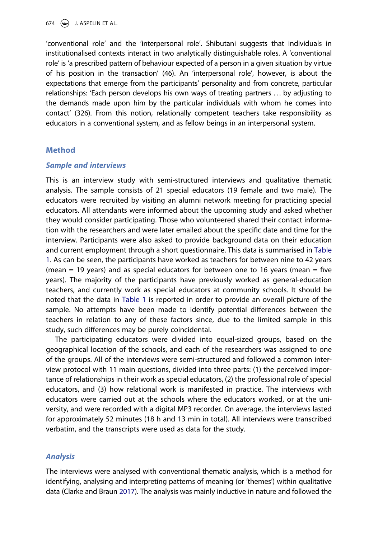674  $\bigodot$  J. ASPELIN ET AL.

'conventional role' and the 'interpersonal role'. Shibutani suggests that individuals in institutionalised contexts interact in two analytically distinguishable roles. A 'conventional role' is 'a prescribed pattern of behaviour expected of a person in a given situation by virtue of his position in the transaction' (46). An 'interpersonal role', however, is about the expectations that emerge from the participants' personality and from concrete, particular relationships: 'Each person develops his own ways of treating partners . . . by adjusting to the demands made upon him by the particular individuals with whom he comes into contact' (326). From this notion, relationally competent teachers take responsibility as educators in a conventional system, and as fellow beings in an interpersonal system.

# **Method**

#### *Sample and interviews*

This is an interview study with semi-structured interviews and qualitative thematic analysis. The sample consists of 21 special educators (19 female and two male). The educators were recruited by visiting an alumni network meeting for practicing special educators. All attendants were informed about the upcoming study and asked whether they would consider participating. Those who volunteered shared their contact information with the researchers and were later emailed about the specific date and time for the interview. Participants were also asked to provide background data on their education and current employment through a short questionnaire. This data is summarised in [Table](#page-5-0) [1](#page-5-0). As can be seen, the participants have worked as teachers for between nine to 42 years (mean  $= 19$  years) and as special educators for between one to 16 years (mean  $=$  five years). The majority of the participants have previously worked as general-education teachers, and currently work as special educators at community schools. It should be noted that the data in [Table 1](#page-5-0) is reported in order to provide an overall picture of the sample. No attempts have been made to identify potential differences between the teachers in relation to any of these factors since, due to the limited sample in this study, such differences may be purely coincidental.

The participating educators were divided into equal-sized groups, based on the geographical location of the schools, and each of the researchers was assigned to one of the groups. All of the interviews were semi-structured and followed a common interview protocol with 11 main questions, divided into three parts: (1) the perceived importance of relationships in their work as special educators, (2) the professional role of special educators, and (3) how relational work is manifested in practice. The interviews with educators were carried out at the schools where the educators worked, or at the university, and were recorded with a digital MP3 recorder. On average, the interviews lasted for approximately 52 minutes (18 h and 13 min in total). All interviews were transcribed verbatim, and the transcripts were used as data for the study.

# *Analysis*

<span id="page-4-0"></span>The interviews were analysed with conventional thematic analysis, which is a method for identifying, analysing and interpreting patterns of meaning (or 'themes') within qualitative data (Clarke and Braun [2017\)](#page-14-9). The analysis was mainly inductive in nature and followed the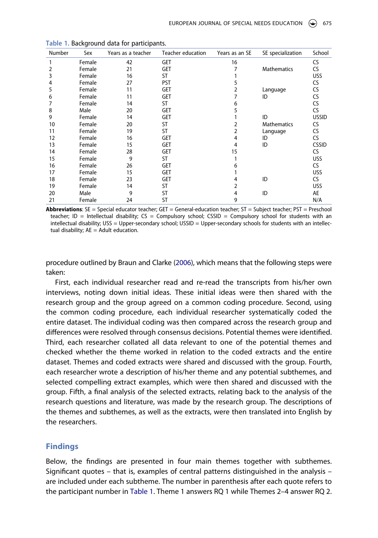| Number | Sex    | Years as a teacher | Teacher education | Years as an SE | SE specialization  | School       |
|--------|--------|--------------------|-------------------|----------------|--------------------|--------------|
| 1      | Female | 42                 | GET               | 16             |                    | <b>CS</b>    |
| 2      | Female | 21                 | <b>GET</b>        |                | <b>Mathematics</b> | CS.          |
| 3      | Female | 16                 | ST                |                |                    | <b>USS</b>   |
| 4      | Female | 27                 | <b>PST</b>        | 5              |                    | CS.          |
| 5      | Female | 11                 | <b>GET</b>        | 2              | Language           | CS           |
| 6      | Female | 11                 | <b>GET</b>        |                | ID                 | CS           |
|        | Female | 14                 | ST                | 6              |                    | CS           |
| 8      | Male   | 20                 | <b>GET</b>        | 5              |                    | CS.          |
| 9      | Female | 14                 | <b>GET</b>        |                | ID                 | <b>USSID</b> |
| 10     | Female | 20                 | <b>ST</b>         | 2              | <b>Mathematics</b> | CS.          |
| 11     | Female | 19                 | <b>ST</b>         | 2              | Language           | CS           |
| 12     | Female | 16                 | <b>GET</b>        | 4              | ID                 | CS.          |
| 13     | Female | 15                 | <b>GET</b>        | 4              | ID                 | <b>CSSID</b> |
| 14     | Female | 28                 | <b>GET</b>        | 15             |                    | <b>CS</b>    |
| 15     | Female | 9                  | <b>ST</b>         |                |                    | <b>USS</b>   |
| 16     | Female | 26                 | <b>GET</b>        | 6              |                    | CS.          |
| 17     | Female | 15                 | <b>GET</b>        |                |                    | <b>USS</b>   |
| 18     | Female | 23                 | <b>GET</b>        | 4              | ID                 | CS.          |
| 19     | Female | 14                 | <b>ST</b>         | 2              |                    | <b>USS</b>   |
| 20     | Male   | 9                  | <b>ST</b>         | 4              | ID                 | AE           |
| 21     | Female | 24                 | ST                | 9              |                    | N/A          |

<span id="page-5-0"></span>**Table 1.** Background data for participants.

**Abbreviations**: SE = Special educator teacher; GET = General-education teacher; ST = Subject teacher; PST = Preschool teacher; ID = Intellectual disability;  $CS =$  Compulsory school; CSSID = Compulsory school for students with an intellectual disability; USS = Upper-secondary school; USSID = Upper-secondary schools for students with an intellectual disability;  $AE =$  Adult education.

<span id="page-5-1"></span>procedure outlined by Braun and Clarke [\(2006](#page-14-10)), which means that the following steps were taken:

First, each individual researcher read and re-read the transcripts from his/her own interviews, noting down initial ideas. These initial ideas were then shared with the research group and the group agreed on a common coding procedure. Second, using the common coding procedure, each individual researcher systematically coded the entire dataset. The individual coding was then compared across the research group and differences were resolved through consensus decisions. Potential themes were identified. Third, each researcher collated all data relevant to one of the potential themes and checked whether the theme worked in relation to the coded extracts and the entire dataset. Themes and coded extracts were shared and discussed with the group. Fourth, each researcher wrote a description of his/her theme and any potential subthemes, and selected compelling extract examples, which were then shared and discussed with the group. Fifth, a final analysis of the selected extracts, relating back to the analysis of the research questions and literature, was made by the research group. The descriptions of the themes and subthemes, as well as the extracts, were then translated into English by the researchers.

#### **Findings**

Below, the findings are presented in four main themes together with subthemes. Significant quotes – that is, examples of central patterns distinguished in the analysis – are included under each subtheme. The number in parenthesis after each quote refers to the participant number in [Table 1](#page-5-0). Theme 1 answers RQ 1 while Themes 2–4 answer RQ 2.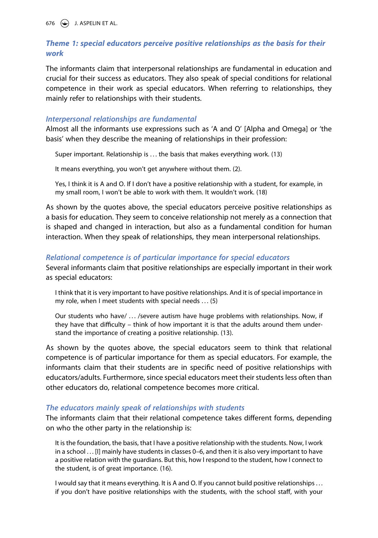676  $\bigodot$  J. ASPELIN ET AL.

# *Theme 1: special educators perceive positive relationships as the basis for their work*

The informants claim that interpersonal relationships are fundamental in education and crucial for their success as educators. They also speak of special conditions for relational competence in their work as special educators. When referring to relationships, they mainly refer to relationships with their students.

# *Interpersonal relationships are fundamental*

Almost all the informants use expressions such as 'A and O' [Alpha and Omega] or 'the basis' when they describe the meaning of relationships in their profession:

Super important. Relationship is ... the basis that makes everything work. (13)

It means everything, you won't get anywhere without them. (2).

Yes, I think it is A and O. If I don't have a positive relationship with a student, for example, in my small room, I won't be able to work with them. It wouldn't work. (18)

As shown by the quotes above, the special educators perceive positive relationships as a basis for education. They seem to conceive relationship not merely as a connection that is shaped and changed in interaction, but also as a fundamental condition for human interaction. When they speak of relationships, they mean interpersonal relationships.

# *Relational competence is of particular importance for special educators*

Several informants claim that positive relationships are especially important in their work as special educators:

I think that it is very important to have positive relationships. And it is of special importance in my role, when I meet students with special needs . . . (5)

Our students who have/ ... /severe autism have huge problems with relationships. Now, if they have that difficulty – think of how important it is that the adults around them understand the importance of creating a positive relationship. (13).

As shown by the quotes above, the special educators seem to think that relational competence is of particular importance for them as special educators. For example, the informants claim that their students are in specific need of positive relationships with educators/adults. Furthermore, since special educators meet their students less often than other educators do, relational competence becomes more critical.

# *The educators mainly speak of relationships with students*

The informants claim that their relational competence takes different forms, depending on who the other party in the relationship is:

It is the foundation, the basis, that I have a positive relationship with the students. Now, I work in a school . . . [I] mainly have students in classes 0–6, and then it is also very important to have a positive relation with the guardians. But this, how I respond to the student, how I connect to the student, is of great importance. (16).

I would say that it means everything. It is A and O. If you cannot build positive relationships . . . if you don't have positive relationships with the students, with the school staff, with your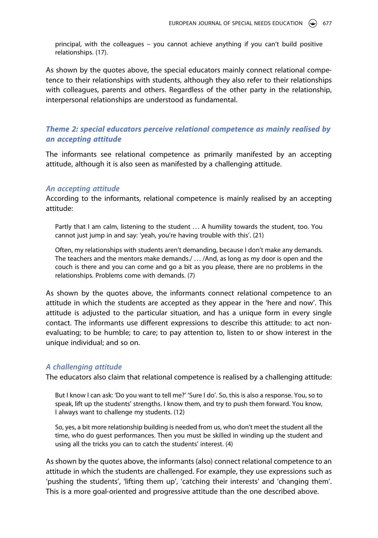principal, with the colleagues – you cannot achieve anything if you can't build positive relationships. (17).

As shown by the quotes above, the special educators mainly connect relational competence to their relationships with students, although they also refer to their relationships with colleagues, parents and others. Regardless of the other party in the relationship, interpersonal relationships are understood as fundamental.

# *Theme 2: special educators perceive relational competence as mainly realised by an accepting attitude*

The informants see relational competence as primarily manifested by an accepting attitude, although it is also seen as manifested by a challenging attitude.

#### *An accepting attitude*

According to the informants, relational competence is mainly realised by an accepting attitude:

Partly that I am calm, listening to the student ... A humility towards the student, too. You cannot just jump in and say: 'yeah, you're having trouble with this'. (21)

Often, my relationships with students aren't demanding, because I don't make any demands. The teachers and the mentors make demands./ . . . /And, as long as my door is open and the couch is there and you can come and go a bit as you please, there are no problems in the relationships. Problems come with demands. (7)

As shown by the quotes above, the informants connect relational competence to an attitude in which the students are accepted as they appear in the 'here and now'. This attitude is adjusted to the particular situation, and has a unique form in every single contact. The informants use different expressions to describe this attitude: to act nonevaluating; to be humble; to care; to pay attention to, listen to or show interest in the unique individual; and so on.

#### *A challenging attitude*

The educators also claim that relational competence is realised by a challenging attitude:

But I know I can ask: 'Do you want to tell me?' 'Sure I do'. So, this is also a response. You, so to speak, lift up the students' strengths. I know them, and try to push them forward. You know, I always want to challenge my students. (12)

So, yes, a bit more relationship building is needed from us, who don't meet the student all the time, who do guest performances. Then you must be skilled in winding up the student and using all the tricks you can to catch the students' interest. (4)

As shown by the quotes above, the informants (also) connect relational competence to an attitude in which the students are challenged. For example, they use expressions such as 'pushing the students', 'lifting them up', 'catching their interests' and 'changing them'. This is a more goal-oriented and progressive attitude than the one described above.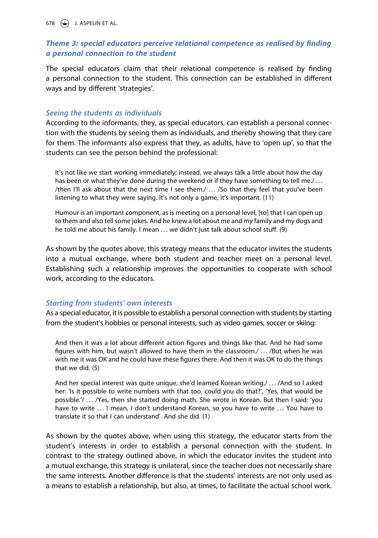678  $\leftrightarrow$  J. ASPELIN ET AL.

# *Theme 3: special educators perceive relational competence as realised by finding a personal connection to the student*

The special educators claim that their relational competence is realised by finding a personal connection to the student. This connection can be established in different ways and by different 'strategies'.

# *Seeing the students as individuals*

According to the informants, they, as special educators, can establish a personal connection with the students by seeing them as individuals, and thereby showing that they care for them. The informants also express that they, as adults, have to 'open up', so that the students can see the person behind the professional:

It's not like we start working immediately; instead, we always talk a little about how the day has been or what they've done during the weekend or if they have something to tell me./ ... /then I'll ask about that the next time I see them./ . . . /So that they feel that you've been listening to what they were saying. It's not only a game, it's important. (11)

Humour is an important component, as is meeting on a personal level, [so] that I can open up to them and also tell some jokes. And he knew a lot about me and my family and my dogs and he told me about his family. I mean . . . we didn't just talk about school stuff. (9)

As shown by the quotes above, this strategy means that the educator invites the students into a mutual exchange, where both student and teacher meet on a personal level. Establishing such a relationship improves the opportunities to cooperate with school work, according to the educators.

# *Starting from students' own interests*

As a special educator, it is possible to establish a personal connection with students by starting from the student's hobbies or personal interests, such as video games, soccer or skiing:

And then it was a lot about different action figures and things like that. And he had some figures with him, but wasn't allowed to have them in the classroom./ . . . /But when he was with me it was OK and he could have these figures there. And then it was OK to do the things that we did. (5)

And her special interest was quite unique, she'd learned Korean writing./ . . . /And so I asked her: 'Is it possible to write numbers with that too, could you do that?', 'Yes, that would be possible.'/ . . . /Yes, then she started doing math. She wrote in Korean. But then I said: 'you have to write ... I mean, I don't understand Korean, so you have to write ... You have to translate it so that I can understand'. And she did. (1)

As shown by the quotes above, when using this strategy, the educator starts from the student's interests in order to establish a personal connection with the student. In contrast to the strategy outlined above, in which the educator invites the student into a mutual exchange, this strategy is unilateral, since the teacher does not necessarily share the same interests. Another difference is that the students' interests are not only used as a means to establish a relationship, but also, at times, to facilitate the actual school work.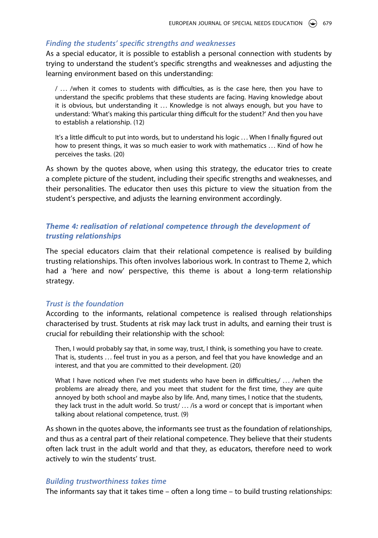# *Finding the students' specific strengths and weaknesses*

As a special educator, it is possible to establish a personal connection with students by trying to understand the student's specific strengths and weaknesses and adjusting the learning environment based on this understanding:

/ . . . /when it comes to students with difficulties, as is the case here, then you have to understand the specific problems that these students are facing. Having knowledge about it is obvious, but understanding it . . . Knowledge is not always enough, but you have to understand: 'What's making this particular thing difficult for the student?' And then you have to establish a relationship. (12)

It's a little difficult to put into words, but to understand his logic . . . When I finally figured out how to present things, it was so much easier to work with mathematics . . . Kind of how he perceives the tasks. (20)

As shown by the quotes above, when using this strategy, the educator tries to create a complete picture of the student, including their specific strengths and weaknesses, and their personalities. The educator then uses this picture to view the situation from the student's perspective, and adjusts the learning environment accordingly.

# *Theme 4: realisation of relational competence through the development of trusting relationships*

The special educators claim that their relational competence is realised by building trusting relationships. This often involves laborious work. In contrast to Theme 2, which had a 'here and now' perspective, this theme is about a long-term relationship strategy.

# *Trust is the foundation*

According to the informants, relational competence is realised through relationships characterised by trust. Students at risk may lack trust in adults, and earning their trust is crucial for rebuilding their relationship with the school:

Then, I would probably say that, in some way, trust, I think, is something you have to create. That is, students ... feel trust in you as a person, and feel that you have knowledge and an interest, and that you are committed to their development. (20)

What I have noticed when I've met students who have been in difficulties,/ ... /when the problems are already there, and you meet that student for the first time, they are quite annoyed by both school and maybe also by life. And, many times, I notice that the students, they lack trust in the adult world. So trust/ . . . /is a word or concept that is important when talking about relational competence, trust. (9)

As shown in the quotes above, the informants see trust as the foundation of relationships, and thus as a central part of their relational competence. They believe that their students often lack trust in the adult world and that they, as educators, therefore need to work actively to win the students' trust.

#### *Building trustworthiness takes time*

The informants say that it takes time – often a long time – to build trusting relationships: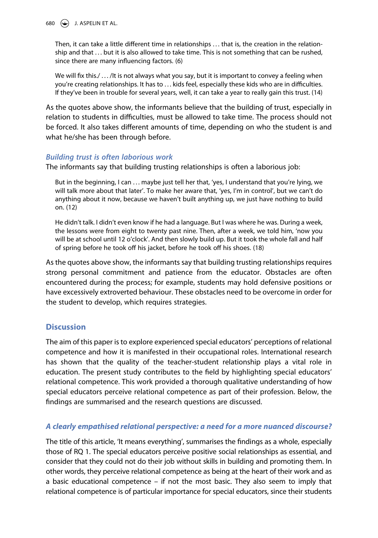680  $\left(\rightarrow\right)$  J. ASPELIN ET AL.

Then, it can take a little different time in relationships ... that is, the creation in the relationship and that . . . but it is also allowed to take time. This is not something that can be rushed, since there are many influencing factors. (6)

We will fix this./ ... /It is not always what you say, but it is important to convey a feeling when you're creating relationships. It has to . . . kids feel, especially these kids who are in difficulties. If they've been in trouble for several years, well, it can take a year to really gain this trust. (14)

As the quotes above show, the informants believe that the building of trust, especially in relation to students in difficulties, must be allowed to take time. The process should not be forced. It also takes different amounts of time, depending on who the student is and what he/she has been through before.

# *Building trust is often laborious work*

The informants say that building trusting relationships is often a laborious job:

But in the beginning, I can ... maybe just tell her that, 'yes, I understand that you're lying, we will talk more about that later'. To make her aware that, 'yes, I'm in control', but we can't do anything about it now, because we haven't built anything up, we just have nothing to build on. (12)

He didn't talk. I didn't even know if he had a language. But I was where he was. During a week, the lessons were from eight to twenty past nine. Then, after a week, we told him, 'now you will be at school until 12 o'clock'. And then slowly build up. But it took the whole fall and half of spring before he took off his jacket, before he took off his shoes. (18)

As the quotes above show, the informants say that building trusting relationships requires strong personal commitment and patience from the educator. Obstacles are often encountered during the process; for example, students may hold defensive positions or have excessively extroverted behaviour. These obstacles need to be overcome in order for the student to develop, which requires strategies.

# **Discussion**

The aim of this paper is to explore experienced special educators' perceptions of relational competence and how it is manifested in their occupational roles. International research has shown that the quality of the teacher-student relationship plays a vital role in education. The present study contributes to the field by highlighting special educators' relational competence. This work provided a thorough qualitative understanding of how special educators perceive relational competence as part of their profession. Below, the findings are summarised and the research questions are discussed.

# *A clearly empathised relational perspective: a need for a more nuanced discourse?*

The title of this article, 'It means everything', summarises the findings as a whole, especially those of RQ 1. The special educators perceive positive social relationships as essential, and consider that they could not do their job without skills in building and promoting them. In other words, they perceive relational competence as being at the heart of their work and as a basic educational competence – if not the most basic. They also seem to imply that relational competence is of particular importance for special educators, since their students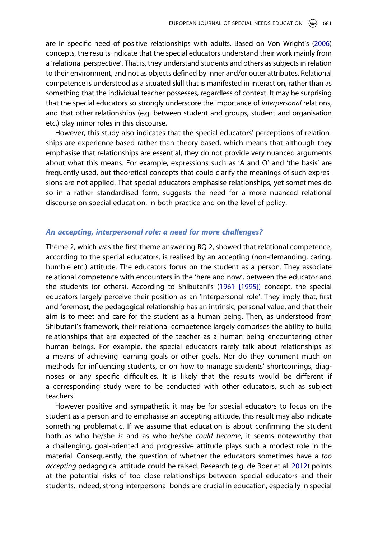are in specific need of positive relationships with adults. Based on Von Wright's [\(2006](#page-15-12)) concepts, the results indicate that the special educators understand their work mainly from a 'relational perspective'. That is, they understand students and others as subjects in relation to their environment, and not as objects defined by inner and/or outer attributes. Relational competence is understood as a situated skill that is manifested in interaction, rather than as something that the individual teacher possesses, regardless of context. It may be surprising that the special educators so strongly underscore the importance of *interpersonal* relations, and that other relationships (e.g. between student and groups, student and organisation etc.) play minor roles in this discourse.

However, this study also indicates that the special educators' perceptions of relationships are experience-based rather than theory-based, which means that although they emphasise that relationships are essential, they do not provide very nuanced arguments about what this means. For example, expressions such as 'A and O' and 'the basis' are frequently used, but theoretical concepts that could clarify the meanings of such expressions are not applied. That special educators emphasise relationships, yet sometimes do so in a rather standardised form, suggests the need for a more nuanced relational discourse on special education, in both practice and on the level of policy.

#### *An accepting, interpersonal role: a need for more challenges?*

Theme 2, which was the first theme answering RQ 2, showed that relational competence, according to the special educators, is realised by an accepting (non-demanding, caring, humble etc.) attitude. The educators focus on the student as a person. They associate relational competence with encounters in the 'here and now', between the educator and the students (or others). According to Shibutani's [\(1961 \[1995\]\)](#page-15-13) concept, the special educators largely perceive their position as an 'interpersonal role'. They imply that, first and foremost, the pedagogical relationship has an intrinsic, personal value, and that their aim is to meet and care for the student as a human being. Then, as understood from Shibutani's framework, their relational competence largely comprises the ability to build relationships that are expected of the teacher as a human being encountering other human beings. For example, the special educators rarely talk about relationships as a means of achieving learning goals or other goals. Nor do they comment much on methods for influencing students, or on how to manage students' shortcomings, diagnoses or any specific difficulties. It is likely that the results would be different if a corresponding study were to be conducted with other educators, such as subject teachers.

However positive and sympathetic it may be for special educators to focus on the student as a person and to emphasise an accepting attitude, this result may also indicate something problematic. If we assume that education is about confirming the student both as who he/she *is* and as who he/she *could become*, it seems noteworthy that a challenging, goal-oriented and progressive attitude plays such a modest role in the material. Consequently, the question of whether the educators sometimes have a *too accepting* pedagogical attitude could be raised. Research (e.g. de Boer et al. [2012](#page-14-2)) points at the potential risks of too close relationships between special educators and their students. Indeed, strong interpersonal bonds are crucial in education, especially in special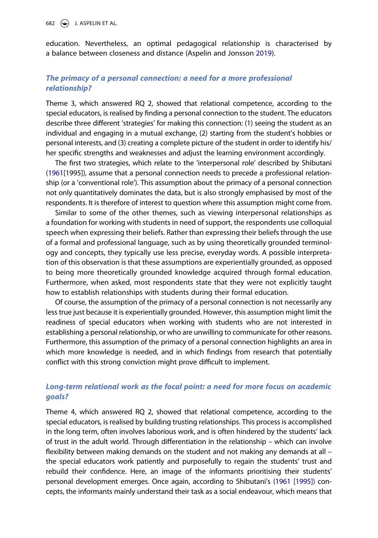682  $\left(\rightarrow\right)$  J. ASPELIN ET AL.

education. Nevertheless, an optimal pedagogical relationship is characterised by a balance between closeness and distance (Aspelin and Jonsson [2019\)](#page-14-0).

# *The primacy of a personal connection: a need for a more professional relationship?*

Theme 3, which answered RQ 2, showed that relational competence, according to the special educators, is realised by finding a personal connection to the student. The educators describe three different 'strategies' for making this connection: (1) seeing the student as an individual and engaging in a mutual exchange, (2) starting from the student's hobbies or personal interests, and (3) creating a complete picture of the student in order to identify his/ her specific strengths and weaknesses and adjust the learning environment accordingly.

The first two strategies, which relate to the 'interpersonal role' described by Shibutani ([1961\[](#page-15-13)1995]), assume that a personal connection needs to precede a professional relationship (or a 'conventional role'). This assumption about the primacy of a personal connection not only quantitatively dominates the data, but is also strongly emphasised by most of the respondents. It is therefore of interest to question where this assumption might come from.

Similar to some of the other themes, such as viewing interpersonal relationships as a foundation for working with students in need of support, the respondents use colloquial speech when expressing their beliefs. Rather than expressing their beliefs through the use of a formal and professional language, such as by using theoretically grounded terminology and concepts, they typically use less precise, everyday words. A possible interpretation of this observation is that these assumptions are experientially grounded, as opposed to being more theoretically grounded knowledge acquired through formal education. Furthermore, when asked, most respondents state that they were not explicitly taught how to establish relationships with students during their formal education.

Of course, the assumption of the primacy of a personal connection is not necessarily any less true just because it is experientially grounded. However, this assumption might limit the readiness of special educators when working with students who are not interested in establishing a personal relationship, or who are unwilling to communicate for other reasons. Furthermore, this assumption of the primacy of a personal connection highlights an area in which more knowledge is needed, and in which findings from research that potentially conflict with this strong conviction might prove difficult to implement.

# *Long-term relational work as the focal point: a need for more focus on academic goals?*

Theme 4, which answered RQ 2, showed that relational competence, according to the special educators, is realised by building trusting relationships. This process is accomplished in the long term, often involves laborious work, and is often hindered by the students' lack of trust in the adult world. Through differentiation in the relationship – which can involve flexibility between making demands on the student and not making any demands at all – the special educators work patiently and purposefully to regain the students' trust and rebuild their confidence. Here, an image of the informants prioritising their students' personal development emerges. Once again, according to Shibutani's [\(1961 \[1995\]\)](#page-15-13) concepts, the informants mainly understand their task as a social endeavour, which means that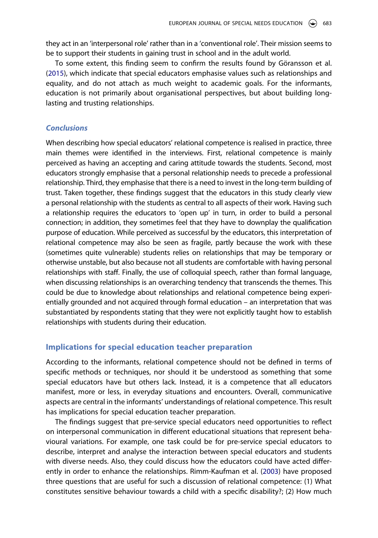they act in an 'interpersonal role' rather than in a 'conventional role'. Their mission seems to be to support their students in gaining trust in school and in the adult world.

To some extent, this finding seem to confirm the results found by Göransson et al. ([2015](#page-15-10)), which indicate that special educators emphasise values such as relationships and equality, and do not attach as much weight to academic goals. For the informants, education is not primarily about organisational perspectives, but about building longlasting and trusting relationships.

#### *Conclusions*

When describing how special educators' relational competence is realised in practice, three main themes were identified in the interviews. First, relational competence is mainly perceived as having an accepting and caring attitude towards the students. Second, most educators strongly emphasise that a personal relationship needs to precede a professional relationship. Third, they emphasise that there is a need to invest in the long-term building of trust. Taken together, these findings suggest that the educators in this study clearly view a personal relationship with the students as central to all aspects of their work. Having such a relationship requires the educators to 'open up' in turn, in order to build a personal connection; in addition, they sometimes feel that they have to downplay the qualification purpose of education. While perceived as successful by the educators, this interpretation of relational competence may also be seen as fragile, partly because the work with these (sometimes quite vulnerable) students relies on relationships that may be temporary or otherwise unstable, but also because not all students are comfortable with having personal relationships with staff. Finally, the use of colloquial speech, rather than formal language, when discussing relationships is an overarching tendency that transcends the themes. This could be due to knowledge about relationships and relational competence being experientially grounded and not acquired through formal education – an interpretation that was substantiated by respondents stating that they were not explicitly taught how to establish relationships with students during their education.

# **Implications for special education teacher preparation**

According to the informants, relational competence should not be defined in terms of specific methods or techniques, nor should it be understood as something that some special educators have but others lack. Instead, it is a competence that all educators manifest, more or less, in everyday situations and encounters. Overall, communicative aspects are central in the informants' understandings of relational competence. This result has implications for special education teacher preparation.

The findings suggest that pre-service special educators need opportunities to reflect on interpersonal communication in different educational situations that represent behavioural variations. For example, one task could be for pre-service special educators to describe, interpret and analyse the interaction between special educators and students with diverse needs. Also, they could discuss how the educators could have acted differently in order to enhance the relationships. Rimm-Kaufman et al. ([2003\)](#page-15-6) have proposed three questions that are useful for such a discussion of relational competence: (1) What constitutes sensitive behaviour towards a child with a specific disability?; (2) How much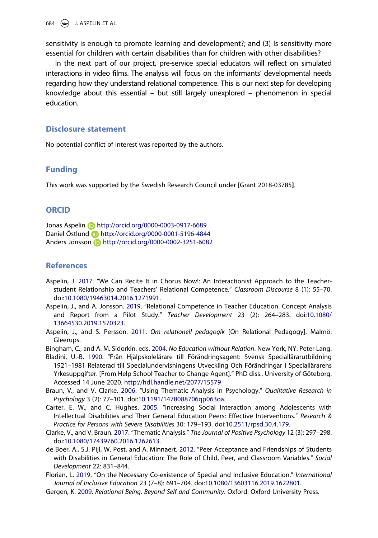684  $\bigodot$  J. ASPELIN ET AL.

sensitivity is enough to promote learning and development?; and (3) Is sensitivity more essential for children with certain disabilities than for children with other disabilities?

In the next part of our project, pre-service special educators will reflect on simulated interactions in video films. The analysis will focus on the informants' developmental needs regarding how they understand relational competence. This is our next step for developing knowledge about this essential – but still largely unexplored – phenomenon in special education.

#### **Disclosure statement**

No potential conflict of interest was reported by the authors.

# **Funding**

This work was supported by the Swedish Research Council under [Grant 2018-03785**]**.

#### **ORCID**

Jonas Aspelin http://orcid.org/0000-0003-0917-6689 Daniel Östlund **b** http://orcid.org/0000-0001-5196-4844 Anders Jönsson **b** http://orcid.org/0000-0002-3251-6082

# **References**

- <span id="page-14-8"></span>Aspelin, J. [2017.](#page-3-0) "We Can Recite It in Chorus Now!: An Interactionist Approach to the Teacherstudent Relationship and Teachers' Relational Competence." *Classroom Discourse* 8 (1): 55–70. doi:[10.1080/19463014.2016.1271991](https://doi.org/10.1080/19463014.2016.1271991).
- <span id="page-14-0"></span>Aspelin, J., and A. Jonsson. [2019.](#page-1-0) "Relational Competence in Teacher Education. Concept Analysis and Report from a Pilot Study." *Teacher Development* 23 (2): 264–283. doi:[10.1080/](https://doi.org/10.1080/13664530.2019.1570323) [13664530.2019.1570323](https://doi.org/10.1080/13664530.2019.1570323).
- <span id="page-14-5"></span>Aspelin, J., and S. Persson. [2011.](#page-3-1) *Om relationell pedagogik* [On Relational Pedagogy]. Malmö: Gleerups.

<span id="page-14-6"></span>Bingham, C., and A. M. Sidorkin, eds. [2004.](#page-3-1) *No Education without Relation*. New York, NY: Peter Lang.

- <span id="page-14-4"></span>Bladini, U.-B. [1990](#page-3-2). "Från Hjälpskolelärare till Förändringsagent: Svensk Speciallärarutbildning 1921–1981 Relaterad till Specialundervisningens Utveckling Och Förändringar I Speciallärarens Yrkesuppgifter. [From Help School Teacher to Change Agent]." PhD diss., University of Göteborg. Accessed 14 June 2020. <http://hdl.handle.net/2077/15579>
- <span id="page-14-10"></span>Braun, V., and V. Clarke. [2006.](#page-5-1) "Using Thematic Analysis in Psychology." *Qualitative Research in Psychology* 3 (2): 77–101. doi:[10.1191/1478088706qp063oa.](https://doi.org/10.1191/1478088706qp063oa)
- <span id="page-14-1"></span>Carter, E. W., and C. Hughes. [2005](#page-2-0). "Increasing Social Interaction among Adolescents with Intellectual Disabilities and Their General Education Peers: Effective Interventions." *Research & Practice for Persons with Severe Disabilities* 30: 179–193. doi:[10.2511/rpsd.30.4.179](https://doi.org/10.2511/rpsd.30.4.179).
- <span id="page-14-9"></span>Clarke, V., and V. Braun. [2017](#page-4-0). "Thematic Analysis." *The Journal of Positive Psychology* 12 (3): 297–298. doi:[10.1080/17439760.2016.1262613](https://doi.org/10.1080/17439760.2016.1262613).
- <span id="page-14-2"></span>de Boer, A., S.J. Pijl, W. Post, and A. Minnaert. [2012.](#page-2-0) "Peer Acceptance and Friendships of Students with Disabilities in General Education: The Role of Child, Peer, and Classroom Variables." *Social Development* 22: 831–844.
- <span id="page-14-3"></span>Florian, L. [2019](#page-2-1). "On the Necessary Co-existence of Special and Inclusive Education." *International Journal of Inclusive Education* 23 (7–8): 691–704. doi:[10.1080/13603116.2019.1622801.](https://doi.org/10.1080/13603116.2019.1622801)
- <span id="page-14-7"></span>Gergen, K. [2009.](#page-3-3) *Relational Being. Beyond Self and Community*. Oxford: Oxford University Press.